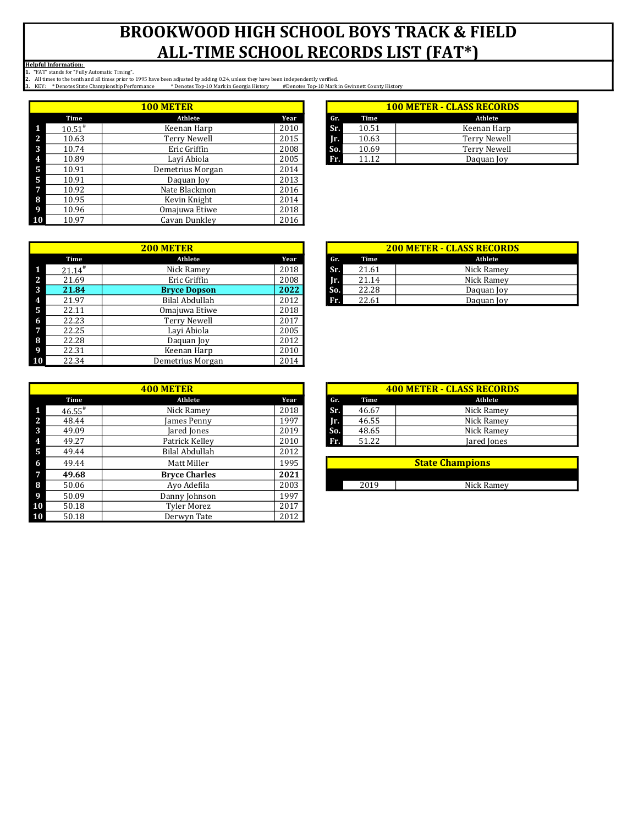|                |             | <b>100 METER</b> |      |     |       | <b>100 METER - CLASS RECORD</b> |
|----------------|-------------|------------------|------|-----|-------|---------------------------------|
|                | Time        | Athlete          | Year | Gr. | Time  | Athlete                         |
| - 1            | $10.51^{*}$ | Keenan Harp      | 2010 | Sr. | 10.51 | Keenan Harp                     |
| <sup>2</sup>   | 10.63       | Terry Newell     | 2015 | Ir. | 10.63 | <b>Terry Newell</b>             |
| - 3            | 10.74       | Eric Griffin     | 2008 | So. | 10.69 | <b>Terry Newell</b>             |
| $\overline{4}$ | 10.89       | Lavi Abiola      | 2005 | Fr. | 11.12 | Daquan Joy                      |
| - 5            | 10.91       | Demetrius Morgan | 2014 |     |       |                                 |
| 5              | 10.91       | Daguan Joy       | 2013 |     |       |                                 |
| $\overline{7}$ | 10.92       | Nate Blackmon    | 2016 |     |       |                                 |
| 8              | 10.95       | Kevin Knight     | 2014 |     |       |                                 |
| $\overline{9}$ | 10.96       | Omajuwa Etiwe    | 2018 |     |       |                                 |
| <b>10</b>      | 10.97       | Cavan Dunkley    | 2016 |     |       |                                 |

| <b>100 METER</b> |      |     | <b>100 METER - CLASS RECORDS</b> |                     |  |  |  |
|------------------|------|-----|----------------------------------|---------------------|--|--|--|
| Athlete          | Year | Gr. | Time                             | Athlete             |  |  |  |
| Keenan Harp      | 2010 | Sr. | 10.51                            | Keenan Harp         |  |  |  |
| Terry Newell     | 2015 | In. | 10.63                            | <b>Terry Newell</b> |  |  |  |
| Eric Griffin     | 2008 | So. | 10.69                            | <b>Terry Newell</b> |  |  |  |
| Lavi Abiola      | 2005 | Fr. | 11.12                            | Daguan Joy          |  |  |  |
|                  |      |     |                                  |                     |  |  |  |

|    |                      | <b>200 METER</b>    |      |     |       | <b>200 METER - CLASS RECORI</b> |
|----|----------------------|---------------------|------|-----|-------|---------------------------------|
|    | Time                 | Athlete             | Year | Gr. | Time  | Athlete                         |
|    | $21.14$ <sup>#</sup> | Nick Ramey          | 2018 | Sr. | 21.61 | Nick Ramey                      |
| 2  | 21.69                | Eric Griffin        | 2008 | Jr. | 21.14 | Nick Ramey                      |
| 3  | 21.84                | <b>Bryce Dopson</b> | 2022 | So. | 22.28 | Daquan Joy                      |
| 4  | 21.97                | Bilal Abdullah      | 2012 | Fr. | 22.61 | Daquan Joy                      |
| 5  | 22.11                | Omajuwa Etiwe       | 2018 |     |       |                                 |
| 6  | 22.23                | Terry Newell        | 2017 |     |       |                                 |
| 7  | 22.25                | Lavi Abiola         | 2005 |     |       |                                 |
| 8  | 22.28                | Daquan Joy          | 2012 |     |       |                                 |
| 9  | 22.31                | Keenan Harp         | 2010 |     |       |                                 |
| 10 | 22.34                | Demetrius Morgan    | 2014 |     |       |                                 |

|                      | <b>400 METER</b>     |      |     |       | <b>400 METER - CLASS RECORI</b> |
|----------------------|----------------------|------|-----|-------|---------------------------------|
| Time                 | Athlete              | Year | Gr. | Time  | Athlete                         |
| $46.55$ <sup>#</sup> | Nick Ramey           | 2018 | Sr. | 46.67 | Nick Ramey                      |
| 48.44                | James Penny          | 1997 | Jr. | 46.55 | Nick Ramey                      |
| 49.09                | Jared Jones          | 2019 | So. | 48.65 | Nick Ramey                      |
| 49.27                | Patrick Kelley       | 2010 | Fr. | 51.22 | Jared Jones                     |
| 49.44                | Bilal Abdullah       | 2012 |     |       |                                 |
| 49.44                | Matt Miller          | 1995 |     |       | <b>State Champions</b>          |
| 49.68                | <b>Bryce Charles</b> | 2021 |     |       |                                 |
| 50.06                | Ayo Adefila          | 2003 |     | 2019  | Nick Ramey                      |
| 50.09                | Danny Johnson        | 1997 |     |       |                                 |
| 50.18                | <b>Tyler Morez</b>   | 2017 |     |       |                                 |
| 50.18                | Derwyn Tate          | 2012 |     |       |                                 |

| <b>200 METER</b>    |      |     | <b>200 METER - CLASS RECORDS</b> |            |  |  |  |
|---------------------|------|-----|----------------------------------|------------|--|--|--|
| Athlete             | Year | Gr. | Time                             | Athlete    |  |  |  |
| Nick Ramey          | 2018 | Sr. | 21.61                            | Nick Ramey |  |  |  |
| Eric Griffin        | 2008 | Ir. | 21.14                            | Nick Ramey |  |  |  |
| <b>Bryce Dopson</b> | 2022 | So. | 22.28                            | Daguan Joy |  |  |  |
| Bilal Abdullah      | 2012 | Fr. | 22.61                            | Daquan Joy |  |  |  |
|                     |      |     |                                  |            |  |  |  |

| <b>400 METER</b> |                      |     | <b>400 METER - CLASS RECORDS</b> |             |  |  |  |  |
|------------------|----------------------|-----|----------------------------------|-------------|--|--|--|--|
| Athlete          | Year                 | Gr. | Time                             | Athlete     |  |  |  |  |
| Nick Ramey       | 2018                 | Sr. | 46.67                            | Nick Ramey  |  |  |  |  |
| James Penny      | 1997                 | TE. | 46.55                            | Nick Ramey  |  |  |  |  |
| Jared Jones      | 2019                 | So. | 48.65                            | Nick Ramey  |  |  |  |  |
| Patrick Kellev   | 2010                 | Fr. | 51.22                            | Jared Jones |  |  |  |  |
| .                | $\sim$ $\sim$ $\sim$ |     |                                  |             |  |  |  |  |

| <b>State Champions</b> |            |  |  |  |  |  |
|------------------------|------------|--|--|--|--|--|
|                        |            |  |  |  |  |  |
| 2010                   | Nick Ramey |  |  |  |  |  |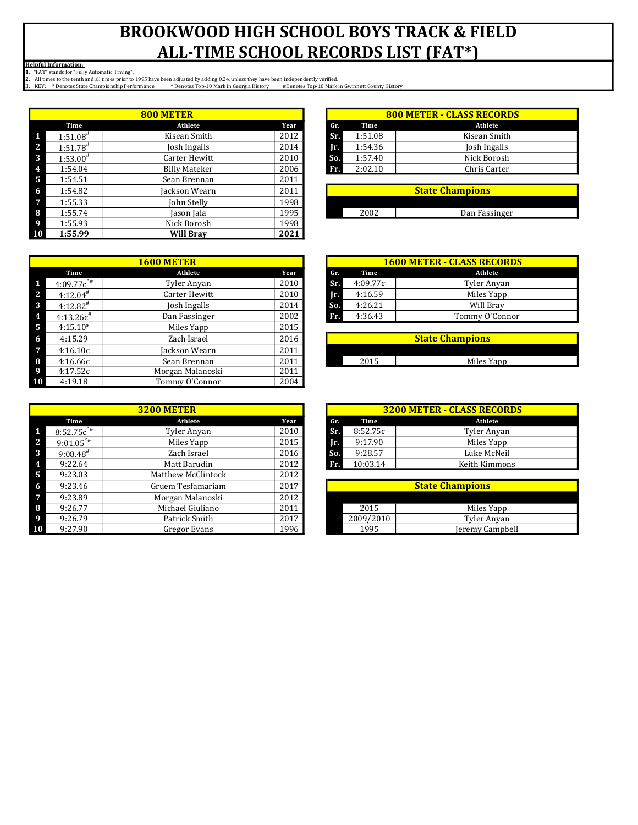|              |                        | 800 METER            |      |     |         | <b>800 METER - CLASS RECORD</b> |
|--------------|------------------------|----------------------|------|-----|---------|---------------------------------|
|              | Time                   | Athlete              | Year | Gr. | Time    | Athlete                         |
| $\mathbf{1}$ | $1:51.08$ <sup>#</sup> | Kisean Smith         | 2012 | Sr. | 1:51.08 | Kisean Smith                    |
| <sup>2</sup> | $1:51.78^{#}$          | Josh Ingalls         | 2014 | Ir. | 1:54.36 | Josh Ingalls                    |
| -3           | $1:53.00^{#}$          | Carter Hewitt        | 2010 | So. | 1:57.40 | Nick Borosh                     |
| 4            | 1:54.04                | <b>Billy Mateker</b> | 2006 | Fr. | 2:02.10 | Chris Carter                    |
| -5           | 1:54.51                | Sean Brennan         | 2011 |     |         |                                 |
| -6           | 1:54.82                | Jackson Wearn        | 2011 |     |         | <b>State Champions</b>          |
| -7           | 1:55.33                | John Stelly          | 1998 |     |         |                                 |
| -8           | 1:55.74                | Jason Jala           | 1995 |     | 2002    | Dan Fassinger                   |
| -9           | 1:55.93                | Nick Borosh          | 1998 |     |         |                                 |
| <b>10</b>    | 1:55.99                | <b>Will Brav</b>     | 2021 |     |         |                                 |

|    |                        | <b>1600 METER</b> |      |     |          | <b>1600 METER - CLASS RECORDS</b> |
|----|------------------------|-------------------|------|-----|----------|-----------------------------------|
|    | Time                   | Athlete           | Year | Gr. | Time     | Athlete                           |
|    | $4:09.77c^{4}$         | Tyler Anyan       | 2010 | Sr. | 4:09.77c | Tyler Anyan                       |
| 2  | $4:12.04$ <sup>#</sup> | Carter Hewitt     | 2010 | Jr. | 4:16.59  | Miles Yapp                        |
| 3  | $4:12.82^*$            | Josh Ingalls      | 2014 | So. | 4:26.21  | Will Bray                         |
|    | $4:13.26c^*$           | Dan Fassinger     | 2002 | Fr. | 4:36.43  | Tommy O'Connor                    |
| 5  | $4:15.10*$             | Miles Yapp        | 2015 |     |          |                                   |
| 6  | 4:15.29                | Zach Israel       | 2016 |     |          | <b>State Champions</b>            |
| 7  | 4:16.10c               | Jackson Wearn     | 2011 |     |          |                                   |
| 8  | 4:16.66c               | Sean Brennan      | 2011 |     | 2015     | Miles Yapp                        |
| 9  | 4:17.52c               | Morgan Malanoski  | 2011 |     |          |                                   |
| 10 | 4:19.18                | Tommy O'Connor    | 2004 |     |          |                                   |

|   |                         | <b>3200 METER</b>         |      |     |           | <b>3200 METER - CLASS RECORDS</b> |
|---|-------------------------|---------------------------|------|-----|-----------|-----------------------------------|
|   | Time                    | Athlete                   | Year | Gr. | Time      | Athlete                           |
|   | $8:52.75c^{4}$          | Tyler Anyan               | 2010 | Sr. | 8:52.75c  | Tyler Anyan                       |
| C | $9:01.05^{\frac{1}{4}}$ | Miles Yapp                | 2015 | Ir. | 9:17.90   | Miles Yapp                        |
| 3 | $9:08.48^{\#}$          | Zach Israel               | 2016 | So. | 9:28.57   | Luke McNeil                       |
|   | 9:22.64                 | Matt Barudin              | 2012 | Fr. | 10:03.14  | Keith Kimmons                     |
| 5 | 9:23.03                 | <b>Matthew McClintock</b> | 2012 |     |           |                                   |
| 6 | 9:23.46                 | Gruem Tesfamariam         | 2017 |     |           | <b>State Champions</b>            |
|   | 9:23.89                 | Morgan Malanoski          | 2012 |     |           |                                   |
| 8 | 9:26.77                 | Michael Giuliano          | 2011 |     | 2015      | Miles Yapp                        |
|   | 9:26.79                 | Patrick Smith             | 2017 |     | 2009/2010 | Tyler Anyan                       |
|   | 9:27.90                 | Gregor Evans              | 1996 |     | 1995      | Jeremy Campbell                   |

| 800 METER                 |        |            | <b>800 METER - CLASS RECORDS</b> |              |  |  |  |  |  |
|---------------------------|--------|------------|----------------------------------|--------------|--|--|--|--|--|
| Athlete                   | Year   | Gr.        | Time                             | Athlete      |  |  |  |  |  |
| Kisean Smith              | 2012   | <b>STA</b> | 1:51.08                          | Kisean Smith |  |  |  |  |  |
| Josh Ingalls              | 2014   | Ir.        | 1:54.36                          | Josh Ingalls |  |  |  |  |  |
| Carter Hewitt             | 2010   | So.        | 1:57.40                          | Nick Borosh  |  |  |  |  |  |
| <b>Billy Mateker</b>      | 2006   | Fr.        | 2:02.10                          | Chris Carter |  |  |  |  |  |
| $C_{\text{max}}$ Desember | $2011$ |            |                                  |              |  |  |  |  |  |

| <b>State Champions</b> |
|------------------------|
|                        |
|                        |
| Dan Fassinger          |
|                        |

| <b>1600 METER</b> |      |     | <b>1600 METER - CLASS RECORDS</b> |                |  |  |  |  |
|-------------------|------|-----|-----------------------------------|----------------|--|--|--|--|
| Athlete           | Year | Gr. | Time                              | Athlete        |  |  |  |  |
| Tyler Anyan       | 2010 | Sr. | 4:09.77c                          | Tyler Anyan    |  |  |  |  |
| Carter Hewitt     | 2010 | Ir. | 4:16.59                           | Miles Yapp     |  |  |  |  |
| Josh Ingalls      | 2014 | So. | 4:26.21                           | Will Brav      |  |  |  |  |
| Dan Fassinger     | 2002 | Fr. | 4:36.43                           | Tommy O'Connor |  |  |  |  |
| $M:1 - N:1 - N$   | 2015 |     |                                   |                |  |  |  |  |

| <b>State Champions</b> |            |  |  |  |  |
|------------------------|------------|--|--|--|--|
|                        |            |  |  |  |  |
| つの1に                   | Miles Yapp |  |  |  |  |

| <b>3200 METER</b> |      |     | <b>3200 METER - CLASS RECORDS</b> |               |  |  |  |  |  |
|-------------------|------|-----|-----------------------------------|---------------|--|--|--|--|--|
| Athlete           | Year | Gr. | Time                              | Athlete       |  |  |  |  |  |
| Tyler Anyan       | 2010 | Sr. | 8:52.75c                          | Tyler Anyan   |  |  |  |  |  |
| Miles Yapp        | 2015 | Ir. | 9:17.90                           | Miles Yapp    |  |  |  |  |  |
| Zach Israel       | 2016 | So. | 9:28.57                           | Luke McNeil   |  |  |  |  |  |
| Matt Barudin      | 2012 | Fr. | 10:03.14                          | Keith Kimmons |  |  |  |  |  |

| <b>State Champions</b> |                 |  |  |  |  |  |
|------------------------|-----------------|--|--|--|--|--|
|                        |                 |  |  |  |  |  |
| 2015                   | Miles Yapp      |  |  |  |  |  |
| 2009/2010              | Tyler Anyan     |  |  |  |  |  |
| 1995                   | Jeremy Campbell |  |  |  |  |  |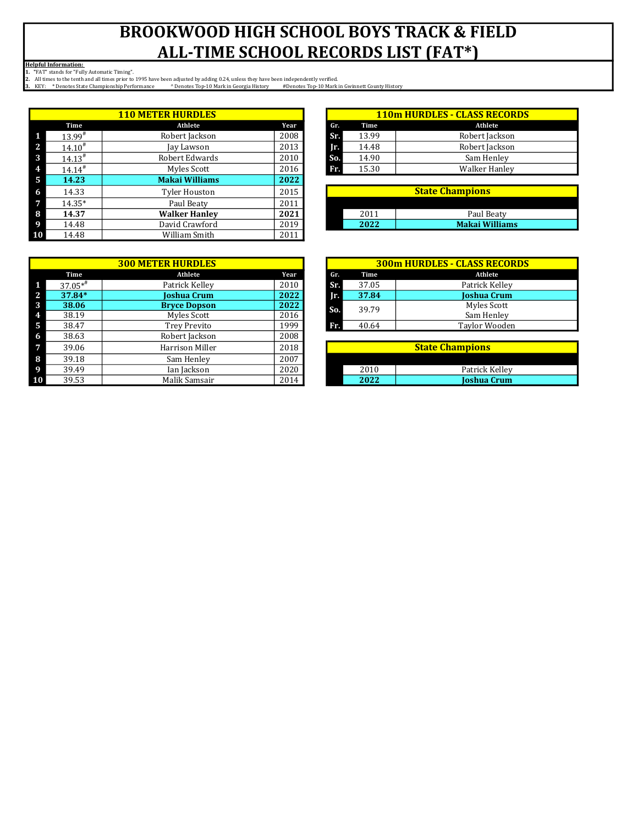|              |                      | <b>110 METER HURDLES</b> |      |     |       | <b>110m HURDLES - CLASS RECORI</b> |
|--------------|----------------------|--------------------------|------|-----|-------|------------------------------------|
|              | Time                 | Athlete                  | Year | Gr. | Time  | Athlete                            |
| $\mathbf{1}$ | $13.99^{\#}$         | Robert Jackson           | 2008 | Sr. | 13.99 | Robert Jackson                     |
| 7            | $14.10^{#}$          | Jay Lawson               | 2013 | Jr. | 14.48 | Robert Jackson                     |
| 3            | $14.13^{\#}$         | Robert Edwards           | 2010 | So. | 14.90 | Sam Henley                         |
| 4            | $14.14$ <sup>#</sup> | Myles Scott              | 2016 | Fr. | 15.30 | Walker Hanley                      |
| -5           | 14.23                | <b>Makai Williams</b>    | 2022 |     |       |                                    |
| -6           | 14.33                | Tyler Houston            | 2015 |     |       | <b>State Champions</b>             |
| -7           | $14.35*$             | Paul Beaty               | 2011 |     |       |                                    |
| -8           | 14.37                | <b>Walker Hanley</b>     | 2021 |     | 2011  | Paul Beaty                         |
| -9           | 14.48                | David Crawford           | 2019 |     | 2022  | <b>Makai Williams</b>              |
| <b>10</b>    | 14.48                | William Smith            | 2011 |     |       |                                    |

| <b>110 METER HURDLES</b> |      |            | <b>110m HURDLES - CLASS RECORDS</b> |                      |  |  |  |  |
|--------------------------|------|------------|-------------------------------------|----------------------|--|--|--|--|
| Athlete                  | Year | Gr.        | Time                                | Athlete              |  |  |  |  |
| Robert Jackson           | 2008 | <b>ST.</b> | 13.99                               | Robert Jackson       |  |  |  |  |
| Jay Lawson               | 2013 | Ir.        | 14.48                               | Robert Jackson       |  |  |  |  |
| Robert Edwards           | 2010 | So.        | 14.90                               | Sam Henley           |  |  |  |  |
| Myles Scott              | 2016 | Fr.        | 15.30                               | <b>Walker Hanley</b> |  |  |  |  |

| <b>State Champions</b> |                       |  |  |  |  |
|------------------------|-----------------------|--|--|--|--|
|                        |                       |  |  |  |  |
| 2011                   | Paul Beaty            |  |  |  |  |
| 2022                   | <b>Makai Williams</b> |  |  |  |  |

| <b>300 METER HURDLES</b> |                        |      |  |     |       | <b>300m HURDLES - CLASS RECOR</b> |
|--------------------------|------------------------|------|--|-----|-------|-----------------------------------|
| Time                     | Athlete                | Year |  | Gr. | Time  | Athlete                           |
| $37.05**$                | Patrick Kelley         | 2010 |  | Sr. | 37.05 | Patrick Kelley                    |
| 37.84*                   | Joshua Crum            | 2022 |  | Ir. | 37.84 | Joshua Crum                       |
| 38.06                    | <b>Bryce Dopson</b>    | 2022 |  |     |       | Myles Scott                       |
| 38.19                    | Myles Scott            | 2016 |  |     |       | Sam Henley                        |
| 38.47                    | <b>Trey Previto</b>    | 1999 |  | Fr. | 40.64 | Taylor Wooden                     |
| 38.63                    | Robert Jackson         | 2008 |  |     |       |                                   |
| 39.06                    | <b>Harrison Miller</b> | 2018 |  |     |       | <b>State Champions</b>            |
| 39.18                    | Sam Henley             | 2007 |  |     |       |                                   |
| 39.49                    | Ian Jackson            | 2020 |  |     | 2010  | Patrick Kelley                    |
| 39.53                    | Malik Samsair          | 2014 |  |     | 2022  | Joshua Crum                       |
|                          |                        |      |  |     | So.   | 39.79                             |

| <b>300 METER HURDLES</b> | 300m HURDLES - CLASS RECORDS |     |       |                      |  |  |
|--------------------------|------------------------------|-----|-------|----------------------|--|--|
| Athlete                  | Year                         | Gr. | Time  | Athlete              |  |  |
| Patrick Kelley           | 2010                         | Sr. | 37.05 | Patrick Kellev       |  |  |
| Ioshua Crum              | 2022                         | 'n. | 37.84 | <b>Ioshua Crum</b>   |  |  |
| <b>Bryce Dopson</b>      | 2022                         | So. | 39.79 | Myles Scott          |  |  |
| Myles Scott              | 2016                         |     |       | Sam Henley           |  |  |
| Trey Previto             | 1999                         | Fr  | 40.64 | <b>Taylor Wooden</b> |  |  |

| <b>State Champions</b> |                    |  |  |  |
|------------------------|--------------------|--|--|--|
|                        |                    |  |  |  |
| 2010                   | Patrick Kellev     |  |  |  |
| 2022                   | <b>Joshua Crum</b> |  |  |  |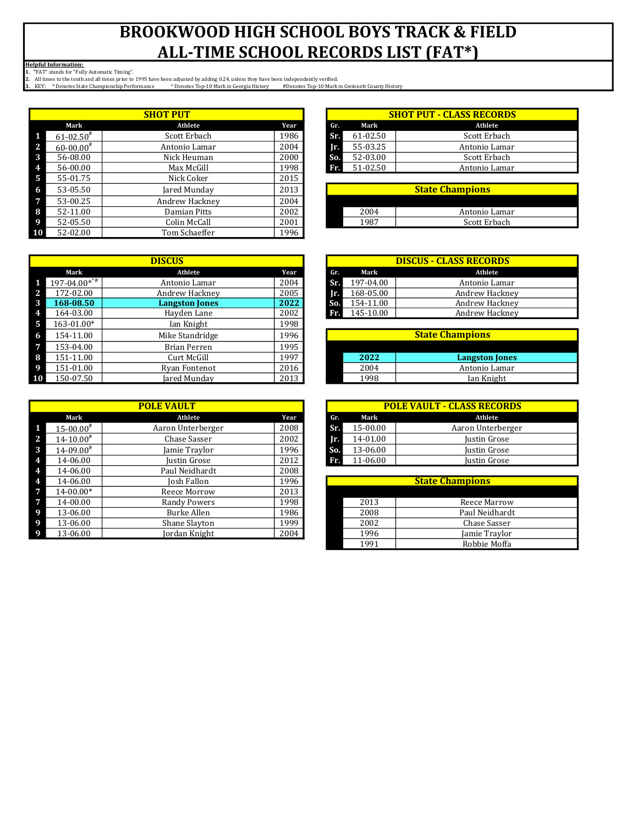|           |                           | <b>SHOT PUT</b> |      |     |          | <b>SHOT PUT - CLASS RECORDS</b> |
|-----------|---------------------------|-----------------|------|-----|----------|---------------------------------|
|           | Mark                      | Athlete         | Year | Gr. | Mark     | Athlete                         |
|           | $61 - 02.50$ <sup>#</sup> | Scott Erbach    | 1986 | Sr. | 61-02.50 | Scott Erbach                    |
| 12        | $60 - 00.00$ <sup>#</sup> | Antonio Lamar   | 2004 | Ir. | 55-03.25 | Antonio Lamar                   |
| -3        | 56-08.00                  | Nick Heuman     | 2000 | So. | 52-03.00 | Scott Erbach                    |
| 4         | 56-00.00                  | Max McGill      | 1998 | Fr. | 51-02.50 | Antonio Lamar                   |
| -5        | 55-01.75                  | Nick Coker      | 2015 |     |          |                                 |
| -6        | 53-05.50                  | Jared Munday    | 2013 |     |          | <b>State Champions</b>          |
| 7         | 53-00.25                  | Andrew Hackney  | 2004 |     |          |                                 |
| -8        | 52-11.00                  | Damian Pitts    | 2002 |     | 2004     | Antonio Lamar                   |
| -9        | 52-05.50                  | Colin McCall    | 2001 |     | 1987     | Scott Erbach                    |
| <b>10</b> | 52-02.00                  | Tom Schaeffer   | 1996 |     |          |                                 |

|   |                            | <b>DISCUS</b>         |      |     |     |           | <b>DISCUS - CLASS RECORDS</b> |
|---|----------------------------|-----------------------|------|-----|-----|-----------|-------------------------------|
|   | Mark                       | Athlete               | Year |     | Gr. | Mark      | Athlete                       |
| 1 | $197-04.00*^{\frac{1}{4}}$ | Antonio Lamar         | 2004 |     | Sr. | 197-04.00 | Antonio Lamar                 |
| 2 | 172-02.00                  | Andrew Hackney        | 2005 |     | π.  | 168-05.00 | Andrew Hackney                |
| 3 | 168-08.50                  | <b>Langston Jones</b> | 2022 | So. |     | 154-11.00 | Andrew Hackney                |
| 4 | 164-03.00                  | Hayden Lane           | 2002 | Fr. |     | 145-10.00 | Andrew Hackney                |
| 5 | 163-01.00*                 | Ian Knight            | 1998 |     |     |           |                               |
| 6 | 154-11.00                  | Mike Standridge       | 1996 |     |     |           | <b>State Champions</b>        |
| 7 | 153-04.00                  | Brian Perren          | 1995 |     |     |           |                               |
| 8 | 151-11.00                  | Curt McGill           | 1997 |     |     | 2022      | <b>Langston Jones</b>         |
| 9 | 151-01.00                  | Ryan Fontenot         | 2016 |     |     | 2004      | Antonio Lamar                 |
|   | 150-07.50                  | Jared Mundav          | 2013 |     |     | 1998      | Ian Knight                    |

|                           | <b>POLE VAULT</b> |      |
|---------------------------|-------------------|------|
| Mark                      | Athlete           | Year |
| $15 - 00.00$ <sup>#</sup> | Aaron Unterberger | 2008 |
| $14 - 10.00^{\#}$         | Chase Sasser      | 2002 |
| $14 - 09.00^{\#}$         | Jamie Traylor     | 1996 |
| 14-06.00                  | Justin Grose      | 2012 |
| 14-06.00                  | Paul Neidhardt    | 2008 |
| 14-06.00                  | Josh Fallon       | 1996 |
| $14 - 00.00*$             | Reece Morrow      | 2013 |
| 14-00.00                  | Randy Powers      | 1998 |
| 13-06.00                  | Burke Allen       | 1986 |
| 13-06.00                  | Shane Slayton     | 1999 |
| 13-06.00                  | Jordan Knight     | 2004 |
|                           |                   |      |

| <b>SHOT PUT</b> |      | <b>SHOT PUT - CLASS RECORDS</b> |          |               |  |  |
|-----------------|------|---------------------------------|----------|---------------|--|--|
| Athlete         | Year | Gr.                             | Mark     | Athlete       |  |  |
| Scott Erbach    | 1986 | <b>ST</b>                       | 61-02.50 | Scott Erbach  |  |  |
| Antonio Lamar   | 2004 | Ir.                             | 55-03.25 | Antonio Lamar |  |  |
| Nick Heuman     | 2000 | So.                             | 52-03.00 | Scott Erbach  |  |  |
| Max McGill      | 1998 | Fr.                             | 51-02.50 | Antonio Lamar |  |  |
|                 |      |                                 |          |               |  |  |

| <b>State Champions</b> |               |  |  |  |
|------------------------|---------------|--|--|--|
|                        |               |  |  |  |
| 2004                   | Antonio Lamar |  |  |  |
|                        | Scott Erbach  |  |  |  |

| <b>DISCUS</b>         |                |  | <b>DISCUS - CLASS RECORDS</b> |           |                |  |  |
|-----------------------|----------------|--|-------------------------------|-----------|----------------|--|--|
| Athlete               | Year           |  | Gr.                           | Mark      | Athlete        |  |  |
| Antonio Lamar         | 2004           |  | Sr.                           | 197-04.00 | Antonio Lamar  |  |  |
| Andrew Hackney        | 2005           |  | IП                            | 168-05.00 | Andrew Hackney |  |  |
| <b>Langston Jones</b> | 2022           |  | So.                           | 154-11.00 | Andrew Hackney |  |  |
| Havden Lane           | 2002           |  | Fr.                           | 145-10.00 | Andrew Hackney |  |  |
| .                     | $\overline{a}$ |  |                               |           |                |  |  |

| <b>State Champions</b> |                       |  |  |  |  |  |  |
|------------------------|-----------------------|--|--|--|--|--|--|
|                        |                       |  |  |  |  |  |  |
| 2022                   | <b>Langston Jones</b> |  |  |  |  |  |  |
| 2004                   | Antonio Lamar         |  |  |  |  |  |  |
| 1 Q Q Q                | Ian Knight            |  |  |  |  |  |  |

| <b>POLE VAULT</b> |      | <b>POLE VAULT - CLASS RECORDS</b> |          |                   |  |  |
|-------------------|------|-----------------------------------|----------|-------------------|--|--|
| Athlete           | Year | Gr.                               | Mark     | Athlete           |  |  |
| Aaron Unterberger | 2008 | Sr.                               | 15-00.00 | Aaron Unterberger |  |  |
| Chase Sasser      | 2002 | Ir.                               | 14-01.00 | Justin Grose      |  |  |
| Jamie Traylor     | 1996 | So.                               | 13-06.00 | Justin Grose      |  |  |
| Justin Grose      | 2012 | Fr.                               | 11-06.00 | Justin Grose      |  |  |
|                   |      |                                   |          |                   |  |  |

| <b>State Champions</b> |                |  |  |  |
|------------------------|----------------|--|--|--|
|                        |                |  |  |  |
| 2013                   | Reece Marrow   |  |  |  |
| 2008                   | Paul Neidhardt |  |  |  |
| 2002                   | Chase Sasser   |  |  |  |
| 1996                   | Jamie Traylor  |  |  |  |
| 1991                   | Robbie Moffa   |  |  |  |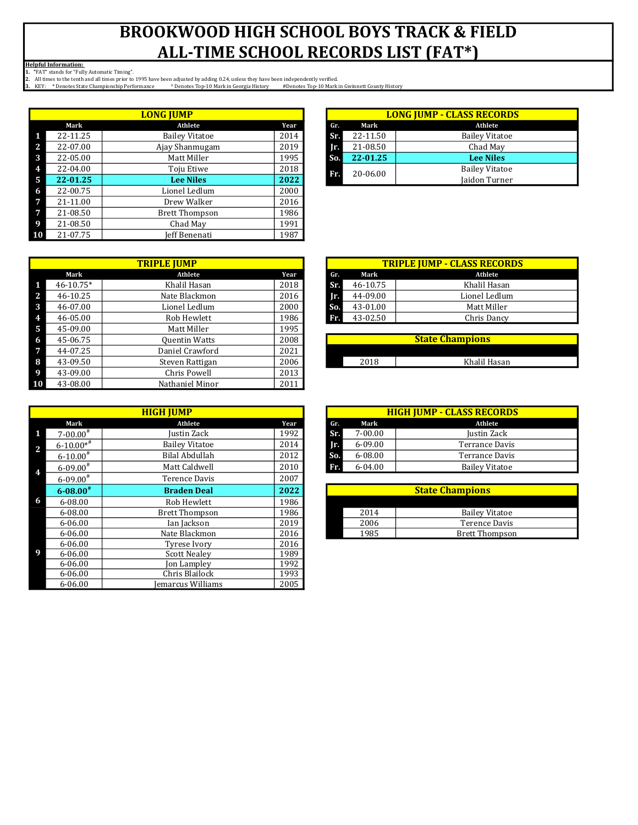|                |          | <b>LONG JUMP</b>      |      |     |          | <b>LONG JUMP - CLASS RECORD</b> |
|----------------|----------|-----------------------|------|-----|----------|---------------------------------|
|                | Mark     | Athlete               | Year | Gr. | Mark     | Athlete                         |
| $\blacksquare$ | 22-11.25 | <b>Bailey Vitatoe</b> | 2014 | Sr. | 22-11.50 | <b>Bailey Vitatoe</b>           |
| <sup>2</sup>   | 22-07.00 | Ajay Shanmugam        | 2019 | Ir. | 21-08.50 | Chad May                        |
| 3              | 22-05.00 | Matt Miller           | 1995 | So. | 22-01.25 | <b>Lee Niles</b>                |
| 4              | 22-04.00 | Toju Etiwe            | 2018 | Fr. | 20-06.00 | <b>Bailey Vitatoe</b>           |
| - 5            | 22-01.25 | <b>Lee Niles</b>      | 2022 |     |          | Jaidon Turner                   |
| -6             | 22-00.75 | Lionel Ledlum         | 2000 |     |          |                                 |
| -7             | 21-11.00 | Drew Walker           | 2016 |     |          |                                 |
| $\overline{7}$ | 21-08.50 | <b>Brett Thompson</b> | 1986 |     |          |                                 |
| -9             | 21-08.50 | Chad May              | 1991 |     |          |                                 |
| <b>10</b>      | 21-07.75 | Jeff Benenati         | 1987 |     |          |                                 |

| LONG IUMP             |      | <b>LONG JUMP - CLASS RECORDS</b> |          |                       |  |  |
|-----------------------|------|----------------------------------|----------|-----------------------|--|--|
| Athlete               | Year | Gr.                              | Mark     | Athlete               |  |  |
| <b>Bailey Vitatoe</b> | 2014 | Sr.                              | 22-11.50 | <b>Bailey Vitatoe</b> |  |  |
| Ajay Shanmugam        | 2019 | Ir.                              | 21-08.50 | Chad May              |  |  |
| Matt Miller           | 1995 | So.                              | 22-01.25 | <b>Lee Niles</b>      |  |  |
| Toju Etiwe            | 2018 | T5TA.                            | 20-06.00 | <b>Bailey Vitatoe</b> |  |  |
| <b>Lee Niles</b>      | 2022 |                                  |          | <b>Jaidon Turner</b>  |  |  |

|              |               | <b>TRIPLE JUMP</b>   |      |     |          | <b>TRIPLE JUMP - CLASS RECORD</b> |
|--------------|---------------|----------------------|------|-----|----------|-----------------------------------|
|              | Mark          | Athlete              | Year | Gr. | Mark     | Athlete                           |
| 1            | $46 - 10.75*$ | Khalil Hasan         | 2018 | Sr. | 46-10.75 | Khalil Hasan                      |
| $\mathbf{2}$ | 46-10.25      | Nate Blackmon        | 2016 | Jr. | 44-09.00 | Lionel Ledlum                     |
| 3            | 46-07.00      | Lionel Ledlum        | 2000 | So. | 43-01.00 | Matt Miller                       |
| 4            | 46-05.00      | Rob Hewlett          | 1986 | Fr. | 43-02.50 | Chris Dancy                       |
| 5            | 45-09.00      | Matt Miller          | 1995 |     |          |                                   |
| 6            | 45-06.75      | <b>Quentin Watts</b> | 2008 |     |          | <b>State Champions</b>            |
| 7            | 44-07.25      | Daniel Crawford      | 2021 |     |          |                                   |
| 8            | 43-09.50      | Steven Rattigan      | 2006 |     | 2018     | Khalil Hasan                      |
| 9            | 43-09.00      | Chris Powell         | 2013 |     |          |                                   |
| 10           | 43-08.00      | Nathaniel Minor      | 2011 |     |          |                                   |

|   |                  | <b>HIGH JUMP</b>      |      |     |             | <b>HIGH JUMP - CLASS RECORDS</b> |
|---|------------------|-----------------------|------|-----|-------------|----------------------------------|
|   | Mark             | Athlete               | Year | Gr. | Mark        | Athlete                          |
|   | $7 - 00.00^+$    | Justin Zack           | 1992 | Sr. | $7 - 00.00$ | Justin Zack                      |
|   | $6 - 10.00**$    | <b>Bailey Vitatoe</b> | 2014 | II. | $6 - 09.00$ | Terrance Davis                   |
|   | $6 - 10.00^{\#}$ | Bilal Abdullah        | 2012 | So. | $6 - 08.00$ | <b>Terrance Davis</b>            |
|   | $6 - 09.00^*$    | Matt Caldwell         | 2010 | Fr. | $6 - 04.00$ | <b>Bailey Vitatoe</b>            |
|   | $6 - 09.00^{\#}$ | Terence Davis         | 2007 |     |             |                                  |
|   | $6 - 08.00^*$    | <b>Braden Deal</b>    | 2022 |     |             | <b>State Champions</b>           |
| 6 | $6 - 08.00$      | Rob Hewlett           | 1986 |     |             |                                  |
|   | $6 - 08.00$      | <b>Brett Thompson</b> | 1986 |     | 2014        | <b>Bailey Vitatoe</b>            |
|   | $6 - 06.00$      | Ian Jackson           | 2019 |     | 2006        | <b>Terence Davis</b>             |
|   | $6 - 06.00$      | Nate Blackmon         | 2016 |     | 1985        | <b>Brett Thompson</b>            |
|   | $6 - 06.00$      | Tyrese Ivory          | 2016 |     |             |                                  |
| 9 | $6 - 06.00$      | <b>Scott Nealev</b>   | 1989 |     |             |                                  |
|   | $6 - 06.00$      | <b>Jon Lampley</b>    | 1992 |     |             |                                  |
|   | $6 - 06.00$      | Chris Blailock        | 1993 |     |             |                                  |
|   | 6-06.00          | Jemarcus Williams     | 2005 |     |             |                                  |

| <b>TRIPLE IUMP</b> |      |     | <b>TRIPLE JUMP - CLASS RECORDS</b> |               |  |  |
|--------------------|------|-----|------------------------------------|---------------|--|--|
| Athlete            | Year | Gr. | Mark                               | Athlete       |  |  |
| Khalil Hasan       | 2018 | Sr. | 46-10.75                           | Khalil Hasan  |  |  |
| Nate Blackmon      | 2016 | IΠ. | 44-09.00                           | Lionel Ledlum |  |  |
| Lionel Ledlum      | 2000 | So. | 43-01.00                           | Matt Miller   |  |  |
| Rob Hewlett        | 1986 | Fr. | 43-02.50                           | Chris Dancy   |  |  |
|                    | .    |     |                                    |               |  |  |

| <b>State Champions</b> |              |  |  |  |  |  |
|------------------------|--------------|--|--|--|--|--|
|                        |              |  |  |  |  |  |
| 2018                   | Khalil Hasan |  |  |  |  |  |

| HIGH IUMP      |      |     | <b>HIGH JUMP - CLASS RECORDS</b> |                       |  |  |  |  |
|----------------|------|-----|----------------------------------|-----------------------|--|--|--|--|
| Athlete        | Year | Gr. | Mark                             | Athlete               |  |  |  |  |
| Justin Zack    | 1992 | ST. | $7 - 00.00$                      | Justin Zack           |  |  |  |  |
| Bailey Vitatoe | 2014 | IF. | 6-09.00                          | Terrance Davis        |  |  |  |  |
| Bilal Abdullah | 2012 | So. | $6 - 08.00$                      | Terrance Davis        |  |  |  |  |
| Matt Caldwell  | 2010 | Fr. | 6-04.00                          | <b>Bailey Vitatoe</b> |  |  |  |  |

| <b>State Champions</b> |                       |  |  |  |  |  |
|------------------------|-----------------------|--|--|--|--|--|
|                        |                       |  |  |  |  |  |
| 2014                   | <b>Bailey Vitatoe</b> |  |  |  |  |  |
| 2006                   | Terence Davis         |  |  |  |  |  |
| 1985                   | <b>Brett Thompson</b> |  |  |  |  |  |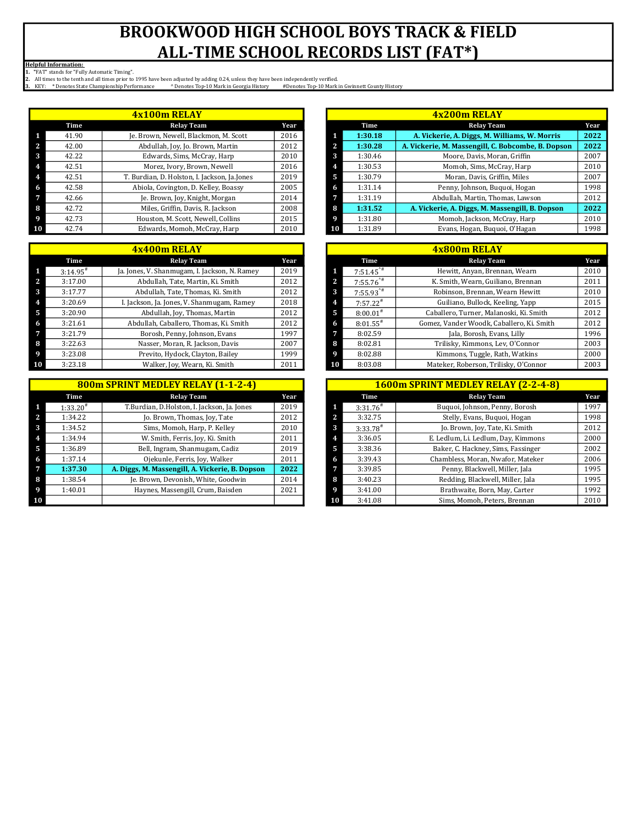|    |       | 4x100m RELAY                                 |      |
|----|-------|----------------------------------------------|------|
|    | Time  | <b>Relay Team</b>                            | Year |
| 1  | 41.90 | Je. Brown, Newell, Blackmon, M. Scott        | 2016 |
| 2  | 42.00 | Abdullah, Joy, Jo. Brown, Martin             | 2012 |
| 3  | 42.22 | Edwards, Sims, McCray, Harp                  | 2010 |
| 4  | 42.51 | Morez, Ivory, Brown, Newell                  | 2016 |
| 4  | 42.51 | T. Burdian, D. Holston, I. Jackson, Ja.Jones | 2019 |
| 6  | 42.58 | Abiola, Covington, D. Kelley, Boassy         | 2005 |
| 7  | 42.66 | Je. Brown, Joy, Knight, Morgan               | 2014 |
| 8  | 42.72 | Miles, Griffin, Davis, R. Jackson            | 2008 |
| 9  | 42.73 | Houston, M. Scott, Newell, Collins           | 2015 |
| 10 | 42.74 | Edwards, Momoh, McCray, Harp                 | 2010 |

|    | 4x400m RELAY   |                                               |      |  |  |  |  |  |  |  |
|----|----------------|-----------------------------------------------|------|--|--|--|--|--|--|--|
|    | Time           | <b>Relay Team</b>                             | Year |  |  |  |  |  |  |  |
| 1  | $3:14.95^{\#}$ | Ja. Jones, V. Shanmugam, I. Jackson, N. Ramey | 2019 |  |  |  |  |  |  |  |
| 2  | 3:17.00        | Abdullah, Tate, Martin, Ki. Smith             | 2012 |  |  |  |  |  |  |  |
| 3  | 3:17.77        | Abdullah, Tate, Thomas, Ki. Smith             | 2012 |  |  |  |  |  |  |  |
| 4  | 3:20.69        | I. Jackson, Ja. Jones, V. Shanmugam, Ramey    | 2018 |  |  |  |  |  |  |  |
| 5  | 3:20.90        | Abdullah, Joy, Thomas, Martin                 | 2012 |  |  |  |  |  |  |  |
| 6  | 3:21.61        | Abdullah, Caballero, Thomas, Ki. Smith        | 2012 |  |  |  |  |  |  |  |
| 7  | 3:21.79        | Borosh, Penny, Johnson, Evans                 | 1997 |  |  |  |  |  |  |  |
| 8  | 3:22.63        | Nasser, Moran, R. Jackson, Davis              | 2007 |  |  |  |  |  |  |  |
| 9  | 3:23.08        | Previto, Hydock, Clayton, Bailey              | 1999 |  |  |  |  |  |  |  |
| 10 | 3:23.18        | Walker, Joy, Wearn, Ki. Smith                 | 2011 |  |  |  |  |  |  |  |

|    |               | 800m SPRINT MEDLEY RELAY (1-1-2-4)              |      |                | 16            |
|----|---------------|-------------------------------------------------|------|----------------|---------------|
|    | Time          | <b>Relay Team</b>                               | Year |                | Time          |
|    | $1:33.20^{#}$ | T.Burdian, D.Holston, I. Jackson, Ja. Jones     | 2019 | 1              | $3:31.76^{#}$ |
|    | 1:34.22       | Jo. Brown, Thomas, Joy, Tate                    | 2012 | 2              | 3:32.75       |
|    | 1:34.52       | Sims, Momoh, Harp, P. Kelley                    | 2010 | 3              | $3:33.78^{#}$ |
|    | 1:34.94       | W. Smith, Ferris, Joy, Ki. Smith                | 2011 | $\overline{4}$ | 3:36.05       |
| 5  | 1:36.89       | Bell, Ingram, Shanmugam, Cadiz                  | 2019 | 5              | 3:38.36       |
| 6  | 1:37.14       | Ojekunle, Ferris, Joy, Walker                   | 2011 | 6              | 3:39.43       |
| 7  | 1:37.30       | A. Diggs, M. Massengill, A. Vickerie, B. Dopson | 2022 | 7              | 3:39.85       |
| 8  | 1:38.54       | Je. Brown, Devonish, White, Goodwin             | 2014 | 8              | 3:40.23       |
| 9  | 1:40.01       | Haynes, Massengill, Crum, Baisden               | 2021 | 9              | 3:41.00       |
| 10 |               |                                                 |      | 10             | 3:41.08       |

| 4x100m RELAY |       |                                              |      |  |         | 4x200m RELAY                                       |      |
|--------------|-------|----------------------------------------------|------|--|---------|----------------------------------------------------|------|
|              | Time  | <b>Relay Team</b>                            | Year |  | Time    | <b>Relay Team</b>                                  | Year |
|              | 41.90 | Je. Brown, Newell, Blackmon, M. Scott        | 2016 |  | 1:30.18 | A. Vickerie, A. Diggs, M. Williams, W. Morris      | 2022 |
|              | 42.00 | Abdullah, Joy, Jo. Brown, Martin             | 2012 |  | 1:30.28 | A. Vickerie, M. Massengill, C. Bobcombe, B. Dopson | 2022 |
|              | 42.22 | Edwards, Sims, McCray, Harp                  | 2010 |  | 1:30.46 | Moore, Davis, Moran, Griffin                       | 2007 |
|              | 42.51 | Morez, Ivory, Brown, Newell                  | 2016 |  | 1:30.53 | Momoh, Sims, McCray, Harp                          | 2010 |
|              | 42.51 | T. Burdian, D. Holston, I. Jackson, Ja.Jones | 2019 |  | 1:30.79 | Moran, Davis, Griffin, Miles                       | 2007 |
|              | 42.58 | Abiola, Covington, D. Kelley, Boassy         | 2005 |  | 1:31.14 | Penny, Johnson, Buguoi, Hogan                      | 1998 |
|              | 42.66 | Je. Brown, Joy, Knight, Morgan               | 2014 |  | 1:31.19 | Abdullah, Martin, Thomas, Lawson                   | 2012 |
|              | 42.72 | Miles, Griffin, Davis, R. Jackson            | 2008 |  | 1:31.52 | A. Vickerie, A. Diggs, M. Massengill, B. Dopson    | 2022 |
|              | 42.73 | Houston, M. Scott, Newell, Collins           | 2015 |  | 1:31.80 | Momoh, Jackson, McCray, Harp                       | 2010 |
|              | 42.74 | Edwards, Momoh, McCray, Harp                 | 2010 |  | 1:31.89 | Evans, Hogan, Buquoi, O'Hagan                      | 1998 |

| 4x400m RELAY |                        |                                               |      |  |                         | 4x800m RELAY                              |      |
|--------------|------------------------|-----------------------------------------------|------|--|-------------------------|-------------------------------------------|------|
|              | Time                   | <b>Relay Team</b>                             | Year |  | Time                    | <b>Relay Team</b>                         | Year |
|              | $3:14.95$ <sup>#</sup> | Ja. Jones, V. Shanmugam, I. Jackson, N. Ramey | 2019 |  | $7:51.45$ <sup>*#</sup> | Hewitt, Anyan, Brennan, Wearn             | 2010 |
|              | 3:17.00                | Abdullah, Tate, Martin, Ki. Smith             | 2012 |  | $7:55.76$ <sup>*#</sup> | K. Smith, Wearn, Guiliano, Brennan        | 2011 |
|              | 3:17.77                | Abdullah, Tate, Thomas, Ki. Smith             | 2012 |  | $7:55.93$ <sup>*#</sup> | Robinson, Brennan, Wearn Hewitt           | 2010 |
|              | 3:20.69                | I. Jackson, Ja. Jones, V. Shanmugam, Ramey    | 2018 |  | $7:57.22^{#}$           | Guiliano, Bullock, Keeling, Yapp          | 2015 |
|              | 3:20.90                | Abdullah, Joy, Thomas, Martin                 | 2012 |  | $8:00.01^{#}$           | Caballero, Turner, Malanoski, Ki. Smith   | 2012 |
|              | 3:21.61                | Abdullah, Caballero, Thomas, Ki. Smith        | 2012 |  | $8:01.55$ <sup>#</sup>  | Gomez, Vander Woodk, Caballero, Ki. Smith | 2012 |
|              | 3:21.79                | Borosh, Penny, Johnson, Evans                 | 1997 |  | 8:02.59                 | Jala, Borosh, Evans, Lilly                | 1996 |
|              | 3:22.63                | Nasser, Moran, R. Jackson, Davis              | 2007 |  | 8:02.81                 | Trilisky, Kimmons, Lev, O'Connor          | 2003 |
|              | 3:23.08                | Previto, Hydock, Clayton, Bailey              | 1999 |  | 8:02.88                 | Kimmons, Tuggle, Rath, Watkins            | 2000 |
|              | 3:23.18                | Walker, Joy, Wearn, Ki. Smith                 | 2011 |  | 8:03.08                 | Mateker, Roberson, Trilisky, O'Connor     | 2003 |

| 800m SPRINT MEDLEY RELAY (1-1-2-4) |                                                 |      |  |  |               | 1600m SPRINT MEDLEY RELAY (2-2-4-8) |      |
|------------------------------------|-------------------------------------------------|------|--|--|---------------|-------------------------------------|------|
| Time                               | <b>Relay Team</b>                               | Year |  |  | Time          | <b>Relay Team</b>                   | Year |
| $1:33.20^{*}$                      | T.Burdian, D.Holston, I. Jackson, Ja. Jones     | 2019 |  |  | $3:31.76^{#}$ | Buquoi, Johnson, Penny, Borosh      | 1997 |
| 1:34.22                            | Jo. Brown, Thomas, Joy, Tate                    | 2012 |  |  | 3:32.75       | Stelly, Evans, Buquoi, Hogan        | 1998 |
| 1:34.52                            | Sims, Momoh, Harp, P. Kelley                    | 2010 |  |  | $3:33.78^{#}$ | Jo. Brown, Joy, Tate, Ki. Smith     | 2012 |
| 1:34.94                            | W. Smith, Ferris, Joy, Ki. Smith                | 2011 |  |  | 3:36.05       | E. Ledlum, Li. Ledlum, Day, Kimmons | 2000 |
| 1:36.89                            | Bell, Ingram, Shanmugam, Cadiz                  | 2019 |  |  | 3:38.36       | Baker, C. Hackney, Sims, Fassinger  | 2002 |
| 1:37.14                            | Ojekunle, Ferris, Joy, Walker                   | 2011 |  |  | 3:39.43       | Chambless, Moran, Nwafor, Mateker   | 2006 |
| 1:37.30                            | A. Diggs, M. Massengill, A. Vickerie, B. Dopson | 2022 |  |  | 3:39.85       | Penny, Blackwell, Miller, Jala      | 1995 |
| 1:38.54                            | Je. Brown, Devonish, White, Goodwin             | 2014 |  |  | 3:40.23       | Redding, Blackwell, Miller, Jala    | 1995 |
| 1:40.01                            | Haynes, Massengill, Crum, Baisden               | 2021 |  |  | 3:41.00       | Brathwaite, Born, May, Carter       | 1992 |
|                                    |                                                 |      |  |  | 3:41.08       | Sims, Momoh, Peters, Brennan        | 2010 |